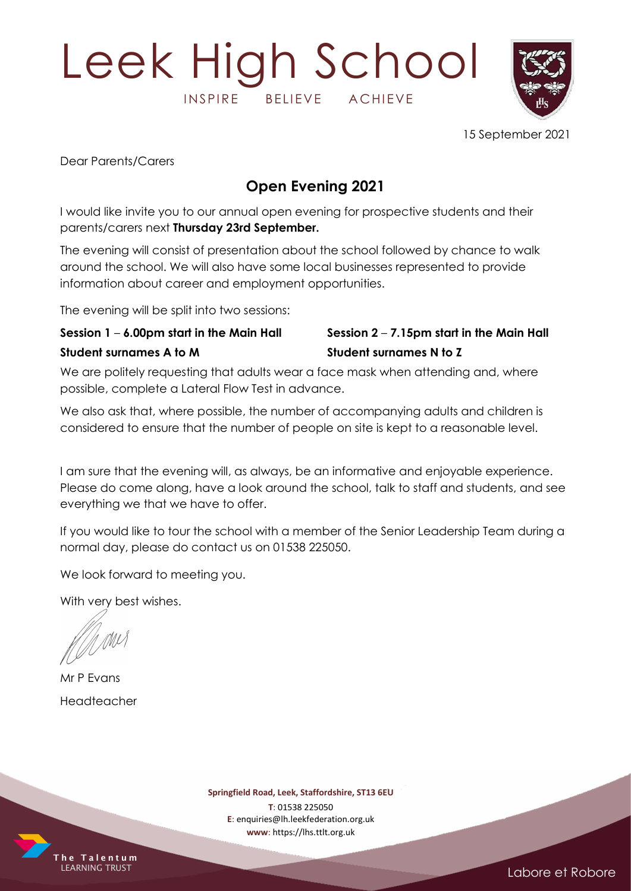# Leek High School INSPIRE BELIEVE ACHIEVE



15 September 2021

Dear Parents/Carers

#### Open Evening 2021

I would like invite you to our annual open evening for prospective students and their parents/carers next Thursday 23rd September.

The evening will consist of presentation about the school followed by chance to walk around the school. We will also have some local businesses represented to provide information about career and employment opportunities.

The evening will be split into two sessions:

#### Student surnames A to M Student surnames N to Z

### Session  $1 - 6.00$ pm start in the Main Hall Session  $2 - 7.15$ pm start in the Main Hall

We are politely requesting that adults wear a face mask when attending and, where possible, complete a Lateral Flow Test in advance.

We also ask that, where possible, the number of accompanying adults and children is considered to ensure that the number of people on site is kept to a reasonable level.

I am sure that the evening will, as always, be an informative and enjoyable experience. Please do come along, have a look around the school, talk to staff and students, and see everything we that we have to offer.

If you would like to tour the school with a member of the Senior Leadership Team during a normal day, please do contact us on 01538 225050.

We look forward to meeting you.

With very best wishes.

M MI

Mr P Evans Headteacher

Springfield Road, Leek, Staffordshire, ST13 6EU

T: 01538 225050 E: enquiries@lh.leekfederation.org.uk www: https://lhs.ttlt.org.uk



Labore et Robore